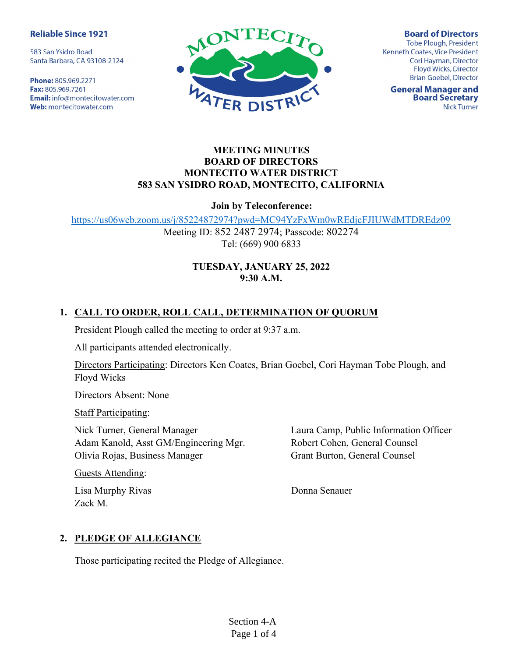#### **Reliable Since 1921**

583 San Ysidro Road Santa Barbara, CA 93108-2124

Phone: 805.969.2271 Fax: 805.969.7261 **Email:** info@montecitowater.com Web: montecitowater.com



**Board of Directors** Tobe Plough, President Kenneth Coates, Vice President Cori Hayman, Director Floyd Wicks, Director **Brian Goebel, Director** 

**General Manager and Board Secretary Nick Turner** 

### MEETING MINUTES BOARD OF DIRECTORS MONTECITO WATER DISTRICT 583 SAN YSIDRO ROAD, MONTECITO, CALIFORNIA

#### Join by Teleconference:

https://us06web.zoom.us/j/85224872974?pwd=MC94YzFxWm0wREdjcFJIUWdMTDREdz09

Meeting ID: 852 2487 2974; Passcode: 802274 Tel: (669) 900 6833

# TUESDAY, JANUARY 25, 2022 9:30 A.M.

# 1. CALL TO ORDER, ROLL CALL, DETERMINATION OF QUORUM

President Plough called the meeting to order at 9:37 a.m.

All participants attended electronically.

Directors Participating: Directors Ken Coates, Brian Goebel, Cori Hayman Tobe Plough, and Floyd Wicks

Directors Absent: None

Staff Participating:

Nick Turner, General Manager Adam Kanold, Asst GM/Engineering Mgr. Olivia Rojas, Business Manager

Guests Attending:

Lisa Murphy Rivas Zack M.

Laura Camp, Public Information Officer Robert Cohen, General Counsel Grant Burton, General Counsel

Donna Senauer

## 2. PLEDGE OF ALLEGIANCE

Those participating recited the Pledge of Allegiance.

Section 4-A Page 1 of 4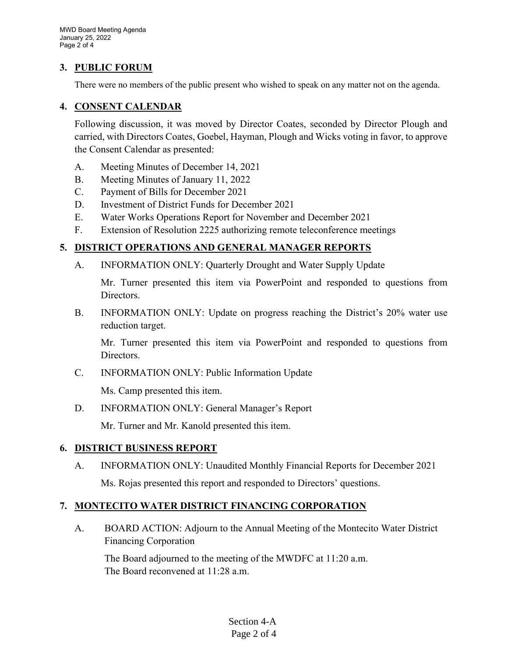### 3. PUBLIC FORUM

There were no members of the public present who wished to speak on any matter not on the agenda.

### 4. CONSENT CALENDAR

Following discussion, it was moved by Director Coates, seconded by Director Plough and carried, with Directors Coates, Goebel, Hayman, Plough and Wicks voting in favor, to approve the Consent Calendar as presented:

- A. Meeting Minutes of December 14, 2021
- B. Meeting Minutes of January 11, 2022
- C. Payment of Bills for December 2021
- D. Investment of District Funds for December 2021
- E. Water Works Operations Report for November and December 2021
- F. Extension of Resolution 2225 authorizing remote teleconference meetings

## 5. DISTRICT OPERATIONS AND GENERAL MANAGER REPORTS

A. INFORMATION ONLY: Quarterly Drought and Water Supply Update

Mr. Turner presented this item via PowerPoint and responded to questions from Directors.

B. INFORMATION ONLY: Update on progress reaching the District's 20% water use reduction target.

Mr. Turner presented this item via PowerPoint and responded to questions from Directors.

C. INFORMATION ONLY: Public Information Update

Ms. Camp presented this item.

D. INFORMATION ONLY: General Manager's Report

Mr. Turner and Mr. Kanold presented this item.

## 6. DISTRICT BUSINESS REPORT

A. INFORMATION ONLY: Unaudited Monthly Financial Reports for December 2021 Ms. Rojas presented this report and responded to Directors' questions.

# 7. MONTECITO WATER DISTRICT FINANCING CORPORATION

A. BOARD ACTION: Adjourn to the Annual Meeting of the Montecito Water District Financing Corporation

The Board adjourned to the meeting of the MWDFC at 11:20 a.m. The Board reconvened at 11:28 a.m.

> Section 4-A Page 2 of 4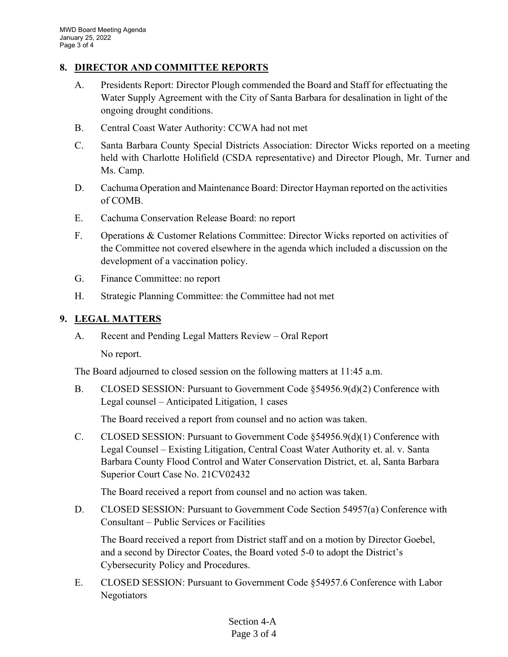## 8. DIRECTOR AND COMMITTEE REPORTS

- A. Presidents Report: Director Plough commended the Board and Staff for effectuating the Water Supply Agreement with the City of Santa Barbara for desalination in light of the ongoing drought conditions.
- B. Central Coast Water Authority: CCWA had not met
- C. Santa Barbara County Special Districts Association: Director Wicks reported on a meeting held with Charlotte Holifield (CSDA representative) and Director Plough, Mr. Turner and Ms. Camp.
- D. Cachuma Operation and Maintenance Board: Director Hayman reported on the activities of COMB.
- E. Cachuma Conservation Release Board: no report
- F. Operations & Customer Relations Committee: Director Wicks reported on activities of the Committee not covered elsewhere in the agenda which included a discussion on the development of a vaccination policy.
- G. Finance Committee: no report
- H. Strategic Planning Committee: the Committee had not met

#### 9. LEGAL MATTERS

A. Recent and Pending Legal Matters Review – Oral Report

No report.

The Board adjourned to closed session on the following matters at 11:45 a.m.

B. CLOSED SESSION: Pursuant to Government Code §54956.9(d)(2) Conference with Legal counsel – Anticipated Litigation, 1 cases

The Board received a report from counsel and no action was taken.

C. CLOSED SESSION: Pursuant to Government Code §54956.9(d)(1) Conference with Legal Counsel – Existing Litigation, Central Coast Water Authority et. al. v. Santa Barbara County Flood Control and Water Conservation District, et. al, Santa Barbara Superior Court Case No. 21CV02432

The Board received a report from counsel and no action was taken.

D. CLOSED SESSION: Pursuant to Government Code Section 54957(a) Conference with Consultant – Public Services or Facilities

The Board received a report from District staff and on a motion by Director Goebel, and a second by Director Coates, the Board voted 5-0 to adopt the District's Cybersecurity Policy and Procedures.

E. CLOSED SESSION: Pursuant to Government Code §54957.6 Conference with Labor Negotiators

#### Section 4-A Page 3 of 4